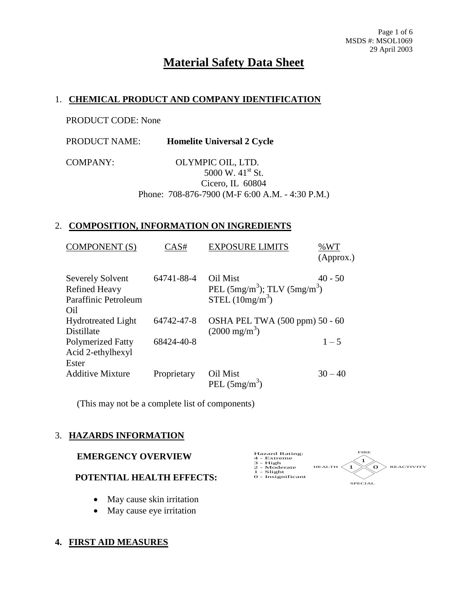# **Material Safety Data Sheet**

# 1. **CHEMICAL PRODUCT AND COMPANY IDENTIFICATION**

PRODUCT CODE: None

| <b>PRODUCT NAME:</b> | <b>Homelite Universal 2 Cycle</b> |
|----------------------|-----------------------------------|
|----------------------|-----------------------------------|

COMPANY: OLYMPIC OIL, LTD. 5000 W. 41<sup>st</sup> St. Cicero, IL 60804

Phone: 708-876-7900 (M-F 6:00 A.M. - 4:30 P.M.)

## 2. **COMPOSITION, INFORMATION ON INGREDIENTS**

| <b>COMPONENT</b> (S)                                                           | CAS#        | <b>EXPOSURE LIMITS</b>                                             | %WT<br>(Approx.) |
|--------------------------------------------------------------------------------|-------------|--------------------------------------------------------------------|------------------|
| <b>Severely Solvent</b><br><b>Refined Heavy</b><br>Paraffinic Petroleum<br>Oil | 64741-88-4  | Oil Mist<br>PEL $(5mg/m^3)$ ; TLV $(5mg/m^3)$<br>STEL $(10mg/m^3)$ | $40 - 50$        |
| <b>Hydrotreated Light</b><br>Distillate                                        | 64742-47-8  | OSHA PEL TWA (500 ppm) 50 - 60<br>$(2000 \text{ mg/m}^3)$          |                  |
| <b>Polymerized Fatty</b><br>Acid 2-ethylhexyl<br>Ester                         | 68424-40-8  |                                                                    | $1 - 5$          |
| <b>Additive Mixture</b>                                                        | Proprietary | Oil Mist<br>PEL $(5mg/m^3)$                                        | $30 - 40$        |

(This may not be a complete list of components)

# 3. **HAZARDS INFORMATION**

## **EMERGENCY OVERVIEW**

## **POTENTIAL HEALTH EFFECTS:**

- May cause skin irritation
- May cause eye irritation

## **4. FIRST AID MEASURES**

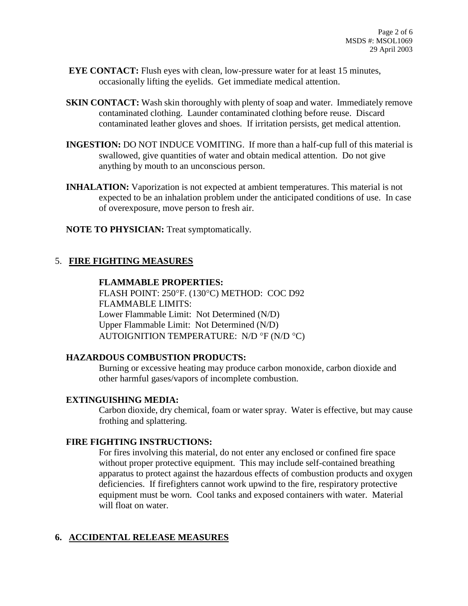- **EYE CONTACT:** Flush eyes with clean, low-pressure water for at least 15 minutes, occasionally lifting the eyelids. Get immediate medical attention.
- **SKIN CONTACT:** Wash skin thoroughly with plenty of soap and water. Immediately remove contaminated clothing. Launder contaminated clothing before reuse. Discard contaminated leather gloves and shoes. If irritation persists, get medical attention.
- **INGESTION:** DO NOT INDUCE VOMITING. If more than a half-cup full of this material is swallowed, give quantities of water and obtain medical attention. Do not give anything by mouth to an unconscious person.
- **INHALATION:** Vaporization is not expected at ambient temperatures. This material is not expected to be an inhalation problem under the anticipated conditions of use. In case of overexposure, move person to fresh air.

**NOTE TO PHYSICIAN:** Treat symptomatically.

# 5. **FIRE FIGHTING MEASURES**

## **FLAMMABLE PROPERTIES:**

FLASH POINT: 250°F. (130°C) METHOD: COC D92 FLAMMABLE LIMITS: Lower Flammable Limit: Not Determined (N/D) Upper Flammable Limit: Not Determined (N/D) AUTOIGNITION TEMPERATURE: N/D  $\degree$ F (N/D  $\degree$ C)

## **HAZARDOUS COMBUSTION PRODUCTS:**

Burning or excessive heating may produce carbon monoxide, carbon dioxide and other harmful gases/vapors of incomplete combustion.

## **EXTINGUISHING MEDIA:**

Carbon dioxide, dry chemical, foam or water spray. Water is effective, but may cause frothing and splattering.

## **FIRE FIGHTING INSTRUCTIONS:**

For fires involving this material, do not enter any enclosed or confined fire space without proper protective equipment. This may include self-contained breathing apparatus to protect against the hazardous effects of combustion products and oxygen deficiencies. If firefighters cannot work upwind to the fire, respiratory protective equipment must be worn. Cool tanks and exposed containers with water. Material will float on water.

# **6. ACCIDENTAL RELEASE MEASURES**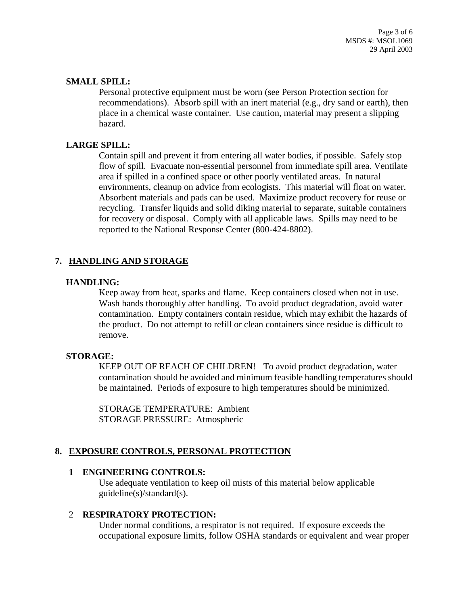Page 3 of 6 MSDS #: MSOL1069 29 April 2003

#### **SMALL SPILL:**

Personal protective equipment must be worn (see Person Protection section for recommendations). Absorb spill with an inert material (e.g., dry sand or earth), then place in a chemical waste container. Use caution, material may present a slipping hazard.

## **LARGE SPILL:**

Contain spill and prevent it from entering all water bodies, if possible. Safely stop flow of spill. Evacuate non-essential personnel from immediate spill area. Ventilate area if spilled in a confined space or other poorly ventilated areas. In natural environments, cleanup on advice from ecologists. This material will float on water. Absorbent materials and pads can be used. Maximize product recovery for reuse or recycling. Transfer liquids and solid diking material to separate, suitable containers for recovery or disposal. Comply with all applicable laws. Spills may need to be reported to the National Response Center (800-424-8802).

## **7. HANDLING AND STORAGE**

#### **HANDLING:**

Keep away from heat, sparks and flame. Keep containers closed when not in use. Wash hands thoroughly after handling. To avoid product degradation, avoid water contamination. Empty containers contain residue, which may exhibit the hazards of the product. Do not attempt to refill or clean containers since residue is difficult to remove.

#### **STORAGE:**

KEEP OUT OF REACH OF CHILDREN! To avoid product degradation, water contamination should be avoided and minimum feasible handling temperatures should be maintained. Periods of exposure to high temperatures should be minimized.

STORAGE TEMPERATURE: Ambient STORAGE PRESSURE: Atmospheric

## **8. EXPOSURE CONTROLS, PERSONAL PROTECTION**

#### **1 ENGINEERING CONTROLS:**

Use adequate ventilation to keep oil mists of this material below applicable guideline(s)/standard(s).

#### 2 **RESPIRATORY PROTECTION:**

Under normal conditions, a respirator is not required. If exposure exceeds the occupational exposure limits, follow OSHA standards or equivalent and wear proper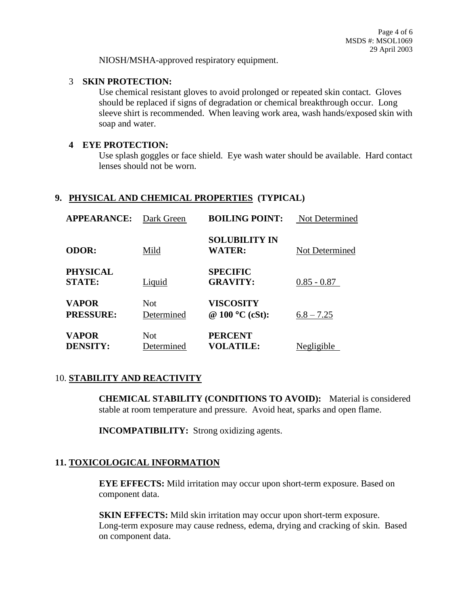NIOSH/MSHA-approved respiratory equipment.

#### 3 **SKIN PROTECTION:**

Use chemical resistant gloves to avoid prolonged or repeated skin contact. Gloves should be replaced if signs of degradation or chemical breakthrough occur. Long sleeve shirt is recommended. When leaving work area, wash hands/exposed skin with soap and water.

#### **4 EYE PROTECTION:**

Use splash goggles or face shield. Eye wash water should be available. Hard contact lenses should not be worn.

## **9. PHYSICAL AND CHEMICAL PROPERTIES (TYPICAL)**

| <b>APPEARANCE:</b>               | Dark Green               | <b>BOILING POINT:</b>                 | Not Determined |
|----------------------------------|--------------------------|---------------------------------------|----------------|
| <b>ODOR:</b>                     | Mild                     | <b>SOLUBILITY IN</b><br><b>WATER:</b> | Not Determined |
| <b>PHYSICAL</b><br><b>STATE:</b> | <b>Liquid</b>            | <b>SPECIFIC</b><br><b>GRAVITY:</b>    | $0.85 - 0.87$  |
| <b>VAPOR</b><br><b>PRESSURE:</b> | <b>Not</b><br>Determined | VISCOSITY<br>@ $100 °C$ (cSt):        | $6.8 - 7.25$   |
| <b>VAPOR</b><br><b>DENSITY:</b>  | <b>Not</b><br>Determined | <b>PERCENT</b><br><b>VOLATILE:</b>    | Negligible     |

# 10. **STABILITY AND REACTIVITY**

**CHEMICAL STABILITY (CONDITIONS TO AVOID):** Material is considered stable at room temperature and pressure. Avoid heat, sparks and open flame.

**INCOMPATIBILITY:** Strong oxidizing agents.

# **11. TOXICOLOGICAL INFORMATION**

**EYE EFFECTS:** Mild irritation may occur upon short-term exposure. Based on component data.

**SKIN EFFECTS:** Mild skin irritation may occur upon short-term exposure. Long-term exposure may cause redness, edema, drying and cracking of skin. Based on component data.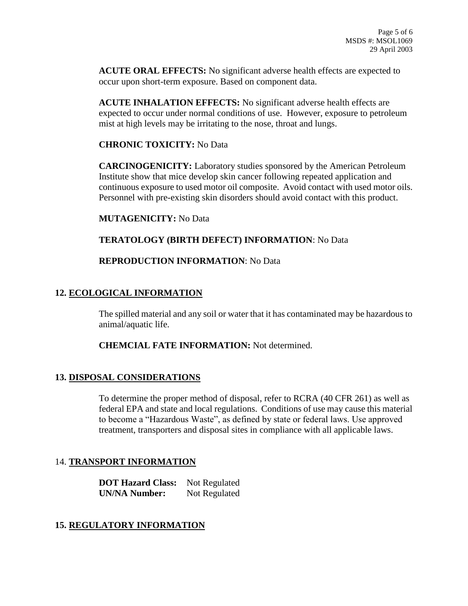**ACUTE ORAL EFFECTS:** No significant adverse health effects are expected to occur upon short-term exposure. Based on component data.

**ACUTE INHALATION EFFECTS:** No significant adverse health effects are expected to occur under normal conditions of use. However, exposure to petroleum mist at high levels may be irritating to the nose, throat and lungs.

## **CHRONIC TOXICITY:** No Data

**CARCINOGENICITY:** Laboratory studies sponsored by the American Petroleum Institute show that mice develop skin cancer following repeated application and continuous exposure to used motor oil composite. Avoid contact with used motor oils. Personnel with pre-existing skin disorders should avoid contact with this product.

#### **MUTAGENICITY:** No Data

## **TERATOLOGY (BIRTH DEFECT) INFORMATION**: No Data

## **REPRODUCTION INFORMATION**: No Data

## **12. ECOLOGICAL INFORMATION**

The spilled material and any soil or water that it has contaminated may be hazardous to animal/aquatic life.

## **CHEMCIAL FATE INFORMATION:** Not determined.

## **13. DISPOSAL CONSIDERATIONS**

To determine the proper method of disposal, refer to RCRA (40 CFR 261) as well as federal EPA and state and local regulations. Conditions of use may cause this material to become a "Hazardous Waste", as defined by state or federal laws. Use approved treatment, transporters and disposal sites in compliance with all applicable laws.

## 14. **TRANSPORT INFORMATION**

**DOT Hazard Class:** Not Regulated **UN/NA Number:** Not Regulated

## **15. REGULATORY INFORMATION**